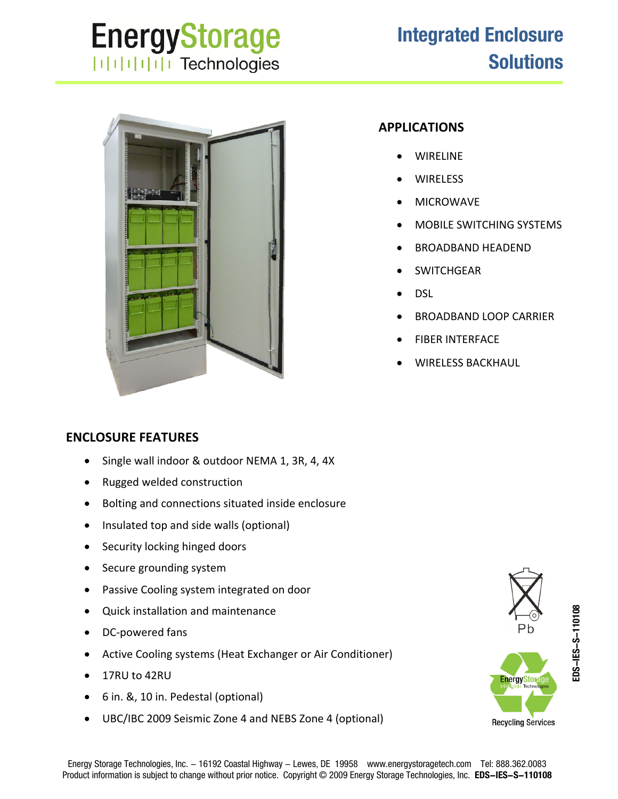## **EnergyStorage ITHEFFITE** Technologies

## **Integrated Enclosure Solutions**



## **APPLICATIONS**

- WIRELINE
- **WIRELESS**
- MICROWAVE
- MOBILE SWITCHING SYSTEMS
- BROADBAND HEADEND
- **SWITCHGEAR**
- DSL
- BROADBAND LOOP CARRIER
- FIBER INTERFACE
- WIRELESS BACKHAUL

## **ENCLOSURE FEATURES**

- Single wall indoor & outdoor NEMA 1, 3R, 4, 4X
- Rugged welded construction
- Bolting and connections situated inside enclosure
- Insulated top and side walls (optional)
- Security locking hinged doors
- Secure grounding system
- Passive Cooling system integrated on door
- Quick installation and maintenance
- DC‐powered fans
- Active Cooling systems (Heat Exchanger or Air Conditioner)
- 17RU to 42RU
- 6 in. &, 10 in. Pedestal (optional)
- UBC/IBC 2009 Seismic Zone 4 and NEBS Zone 4 (optional)

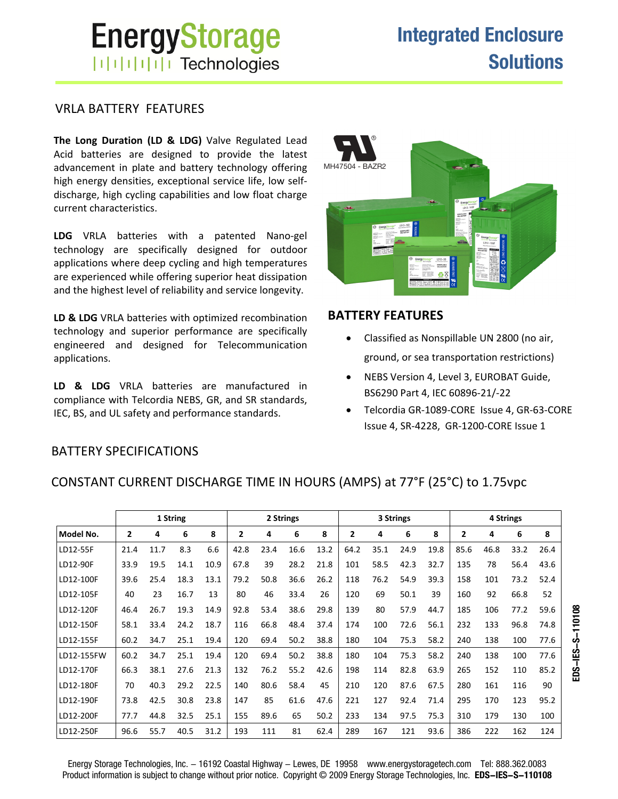# **EnergyStorage ITHILITI** Technologies

#### VRLA BATTERY FEATURES

**The Long Duration (LD & LDG)** Valve Regulated Lead Acid batteries are designed to provide the latest advancement in plate and battery technology offering high energy densities, exceptional service life, low self‐ discharge, high cycling capabilities and low float charge current characteristics.

**LDG** VRLA batteries with a patented Nano‐gel technology are specifically designed for outdoor applications where deep cycling and high temperatures are experienced while offering superior heat dissipation and the highest level of reliability and service longevity.

**LD & LDG** VRLA batteries with optimized recombination technology and superior performance are specifically engineered and designed for Telecommunication applications.

**LD & LDG** VRLA batteries are manufactured in compliance with Telcordia NEBS, GR, and SR standards, IEC, BS, and UL safety and performance standards.



#### **BATTERY FEATURES**

- Classified as Nonspillable UN 2800 (no air, ground, or sea transportation restrictions)
- NEBS Version 4, Level 3, EUROBAT Guide, BS6290 Part 4, IEC 60896‐21/‐22
- Telcordia GR‐1089‐CORE Issue 4, GR‐63‐CORE Issue 4, SR‐4228, GR‐1200‐CORE Issue 1

**EDS-IES-S-110108**

EDS-IES-S-110108

#### BATTERY SPECIFICATIONS

|            |                |      | 1 String |      |                |      | 2 Strings |      |                |      | 3 Strings |      |      |      | 4 Strings |      |
|------------|----------------|------|----------|------|----------------|------|-----------|------|----------------|------|-----------|------|------|------|-----------|------|
| Model No.  | $\overline{2}$ | 4    | 6        | 8    | $\overline{2}$ | 4    | 6         | 8    | $\overline{2}$ | 4    | 6         | 8    | 2    | 4    | 6         | 8    |
| LD12-55F   | 21.4           | 11.7 | 8.3      | 6.6  | 42.8           | 23.4 | 16.6      | 13.2 | 64.2           | 35.1 | 24.9      | 19.8 | 85.6 | 46.8 | 33.2      | 26.4 |
| LD12-90F   | 33.9           | 19.5 | 14.1     | 10.9 | 67.8           | 39   | 28.2      | 21.8 | 101            | 58.5 | 42.3      | 32.7 | 135  | 78   | 56.4      | 43.6 |
| LD12-100F  | 39.6           | 25.4 | 18.3     | 13.1 | 79.2           | 50.8 | 36.6      | 26.2 | 118            | 76.2 | 54.9      | 39.3 | 158  | 101  | 73.2      | 52.4 |
| LD12-105F  | 40             | 23   | 16.7     | 13   | 80             | 46   | 33.4      | 26   | 120            | 69   | 50.1      | 39   | 160  | 92   | 66.8      | 52   |
| LD12-120F  | 46.4           | 26.7 | 19.3     | 14.9 | 92.8           | 53.4 | 38.6      | 29.8 | 139            | 80   | 57.9      | 44.7 | 185  | 106  | 77.2      | 59.6 |
| LD12-150F  | 58.1           | 33.4 | 24.2     | 18.7 | 116            | 66.8 | 48.4      | 37.4 | 174            | 100  | 72.6      | 56.1 | 232  | 133  | 96.8      | 74.8 |
| LD12-155F  | 60.2           | 34.7 | 25.1     | 19.4 | 120            | 69.4 | 50.2      | 38.8 | 180            | 104  | 75.3      | 58.2 | 240  | 138  | 100       | 77.6 |
| LD12-155FW | 60.2           | 34.7 | 25.1     | 19.4 | 120            | 69.4 | 50.2      | 38.8 | 180            | 104  | 75.3      | 58.2 | 240  | 138  | 100       | 77.6 |
| LD12-170F  | 66.3           | 38.1 | 27.6     | 21.3 | 132            | 76.2 | 55.2      | 42.6 | 198            | 114  | 82.8      | 63.9 | 265  | 152  | 110       | 85.2 |
| LD12-180F  | 70             | 40.3 | 29.2     | 22.5 | 140            | 80.6 | 58.4      | 45   | 210            | 120  | 87.6      | 67.5 | 280  | 161  | 116       | 90   |
| LD12-190F  | 73.8           | 42.5 | 30.8     | 23.8 | 147            | 85   | 61.6      | 47.6 | 221            | 127  | 92.4      | 71.4 | 295  | 170  | 123       | 95.2 |
| LD12-200F  | 77.7           | 44.8 | 32.5     | 25.1 | 155            | 89.6 | 65        | 50.2 | 233            | 134  | 97.5      | 75.3 | 310  | 179  | 130       | 100  |
| LD12-250F  | 96.6           | 55.7 | 40.5     | 31.2 | 193            | 111  | 81        | 62.4 | 289            | 167  | 121       | 93.6 | 386  | 222  | 162       | 124  |

#### CONSTANT CURRENT DISCHARGE TIME IN HOURS (AMPS) at 77°F (25°C) to 1.75vpc

Energy Storage Technologies, Inc. - 16192 Coastal Highway - Lewes, DE 19958 www.energystoragetech.com Tel: 888.362.0083 Product information is subject to change without prior notice. Copyright © 2009 Energy Storage Technologies, Inc. **EDS-IES-S-110108**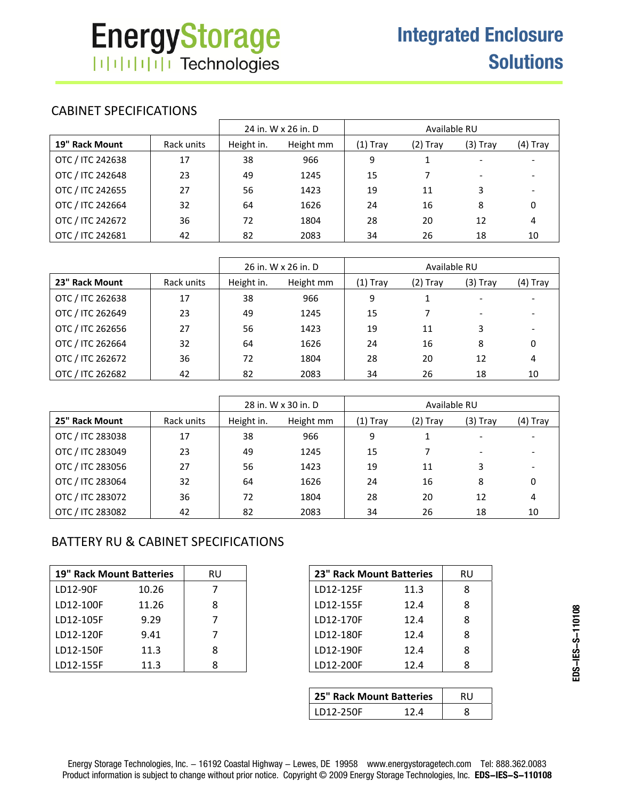## CABINET SPECIFICATIONS

|                  |            |            | 24 in. W x 26 in. D |            | Available RU |                          |            |
|------------------|------------|------------|---------------------|------------|--------------|--------------------------|------------|
| 19" Rack Mount   | Rack units | Height in. | Height mm           | $(1)$ Tray | $(2)$ Tray   | $(3)$ Tray               | $(4)$ Tray |
| OTC / ITC 242638 | 17         | 38         | 966                 | 9          |              |                          |            |
| OTC / ITC 242648 | 23         | 49         | 1245                | 15         | 7            | $\overline{\phantom{a}}$ |            |
| OTC / ITC 242655 | 27         | 56         | 1423                | 19         | 11           | 3                        |            |
| OTC / ITC 242664 | 32         | 64         | 1626                | 24         | 16           | 8                        | 0          |
| OTC / ITC 242672 | 36         | 72         | 1804                | 28         | 20           | 12                       | 4          |
| OTC / ITC 242681 | 42         | 82         | 2083                | 34         | 26           | 18                       | 10         |

|                  |            |            | 26 in. W x 26 in. D |            | Available RU |                          |          |
|------------------|------------|------------|---------------------|------------|--------------|--------------------------|----------|
| 23" Rack Mount   | Rack units | Height in. | Height mm           | $(1)$ Tray | (2) Tray     | (3) Tray                 | (4) Tray |
| OTC / ITC 262638 | 17         | 38         | 966                 | 9          |              |                          |          |
| OTC / ITC 262649 | 23         | 49         | 1245                | 15         |              | $\overline{\phantom{0}}$ |          |
| OTC / ITC 262656 | 27         | 56         | 1423                | 19         | 11           | 3                        |          |
| OTC / ITC 262664 | 32         | 64         | 1626                | 24         | 16           | 8                        | 0        |
| OTC / ITC 262672 | 36         | 72         | 1804                | 28         | 20           | 12                       | 4        |
| OTC / ITC 262682 | 42         | 82         | 2083                | 34         | 26           | 18                       | 10       |

|                  |            |            | 28 in. W x 30 in. D |          | Available RU |          |          |
|------------------|------------|------------|---------------------|----------|--------------|----------|----------|
| 25" Rack Mount   | Rack units | Height in. | Height mm           | (1) Tray | (2) Tray     | (3) Tray | (4) Tray |
| OTC / ITC 283038 | 17         | 38         | 966                 | 9        |              |          |          |
| OTC / ITC 283049 | 23         | 49         | 1245                | 15       |              | -        |          |
| OTC / ITC 283056 | 27         | 56         | 1423                | 19       | 11           | 3        |          |
| OTC / ITC 283064 | 32         | 64         | 1626                | 24       | 16           | 8        | $\Omega$ |
| OTC / ITC 283072 | 36         | 72         | 1804                | 28       | 20           | 12       | 4        |
| OTC / ITC 283082 | 42         | 82         | 2083                | 34       | 26           | 18       | 10       |

## BATTERY RU & CABINET SPECIFICATIONS

| <b>19" Rack Mount Batteries</b> |       | RU | 23" Rack Mount Batteries |      | RU |
|---------------------------------|-------|----|--------------------------|------|----|
| LD12-90F                        | 10.26 |    | LD12-125F                | 11.3 | 8  |
| LD12-100F                       | 11.26 | 8  | LD12-155F                | 12.4 | 8  |
| LD12-105F                       | 9.29  |    | LD12-170F                | 12.4 | 8  |
| LD12-120F                       | 9.41  |    | LD12-180F                | 12.4 | 8  |
| LD12-150F                       | 11.3  | 8  | LD12-190F                | 12.4 | 8  |
| LD12-155F                       | 11.3  |    | LD12-200F                | 12.4 | 8  |

| 23" Rack Mount Batteries | RU   |   |
|--------------------------|------|---|
| LD12-125F                | 11.3 | 8 |
| LD12-155F                | 12.4 | 8 |
| LD12-170F                | 12.4 | 8 |
| LD12-180F                | 12.4 | 8 |
| LD12-190F                | 12.4 | 8 |
| LD12-200F                | 12.4 | 8 |
|                          |      |   |

| 25" Rack Mount Batteries |       |  |
|--------------------------|-------|--|
| l LD12-250F              | 1 2 A |  |